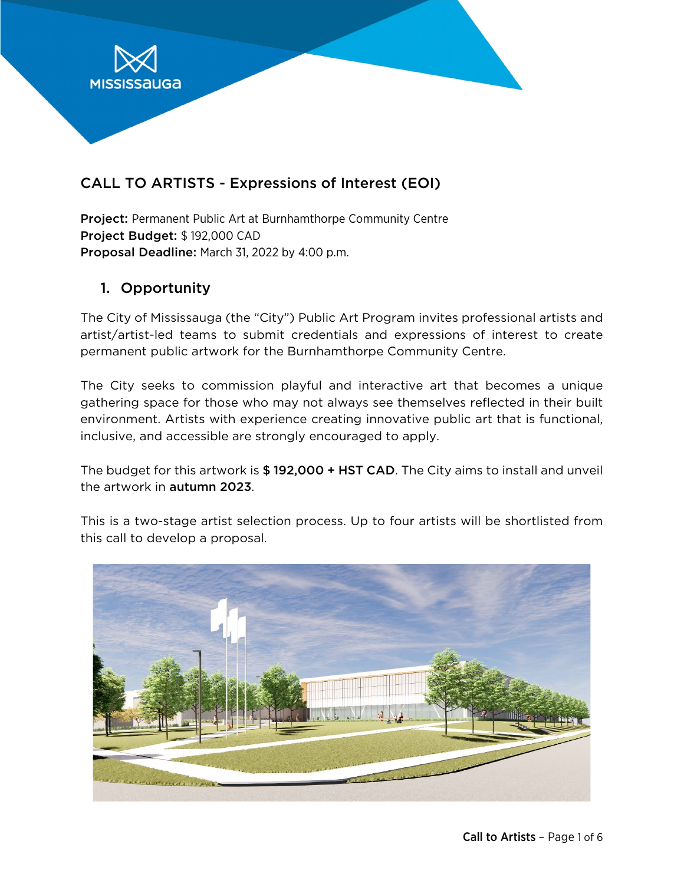

# CALL TO ARTISTS - Expressions of Interest (EOI)

Project: Permanent Public Art at Burnhamthorpe Community Centre Project Budget: \$ 192,000 CAD Proposal Deadline: March 31, 2022 by 4:00 p.m.

### 1. Opportunity

The City of Mississauga (the "City") Public Art Program invites professional artists and artist/artist-led teams to submit credentials and expressions of interest to create permanent public artwork for the Burnhamthorpe Community Centre.

The City seeks to commission playful and interactive art that becomes a unique gathering space for those who may not always see themselves reflected in their built environment. Artists with experience creating innovative public art that is functional, inclusive, and accessible are strongly encouraged to apply.

The budget for this artwork is \$192,000 + HST CAD. The City aims to install and unveil the artwork in autumn 2023.

This is a two-stage artist selection process. Up to four artists will be shortlisted from this call to develop a proposal.

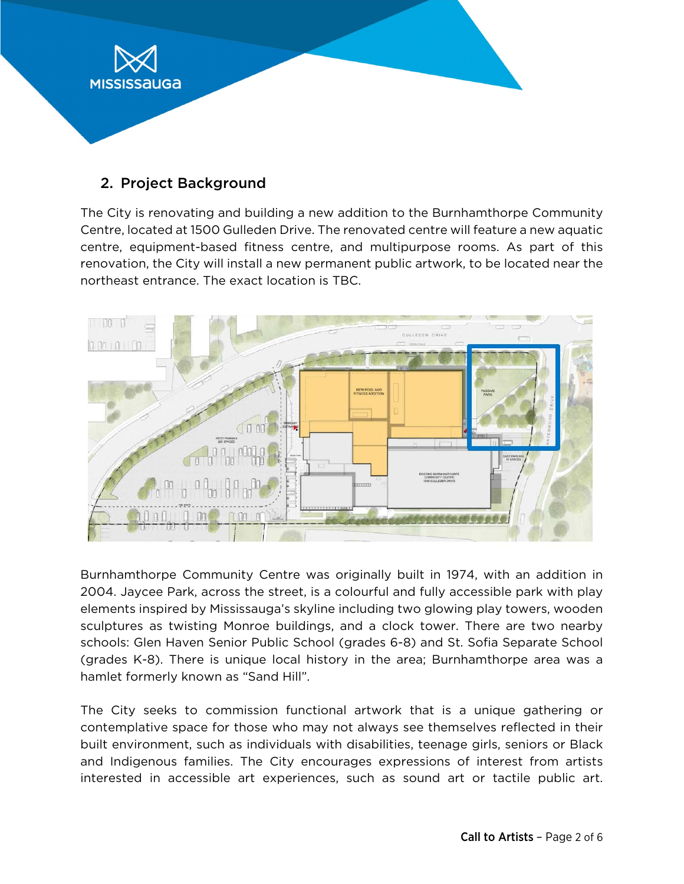

## 2. Project Background

The City is renovating and building a new addition to the Burnhamthorpe Community Centre, located at 1500 Gulleden Drive. The renovated centre will feature a new aquatic centre, equipment-based fitness centre, and multipurpose rooms. As part of this renovation, the City will install a new permanent public artwork, to be located near the northeast entrance. The exact location is TBC.



Burnhamthorpe Community Centre was originally built in 1974, with an addition in 2004. Jaycee Park, across the street, is a colourful and fully accessible park with play elements inspired by Mississauga's skyline including two glowing play towers, wooden sculptures as twisting Monroe buildings, and a clock tower. There are two nearby schools: Glen Haven Senior Public School (grades 6-8) and St. Sofia Separate School (grades K-8). There is unique local history in the area; Burnhamthorpe area was a hamlet formerly known as "Sand Hill".

The City seeks to commission functional artwork that is a unique gathering or contemplative space for those who may not always see themselves reflected in their built environment, such as individuals with disabilities, teenage girls, seniors or Black and Indigenous families. The City encourages expressions of interest from artists interested in accessible art experiences, such as sound art or tactile public art.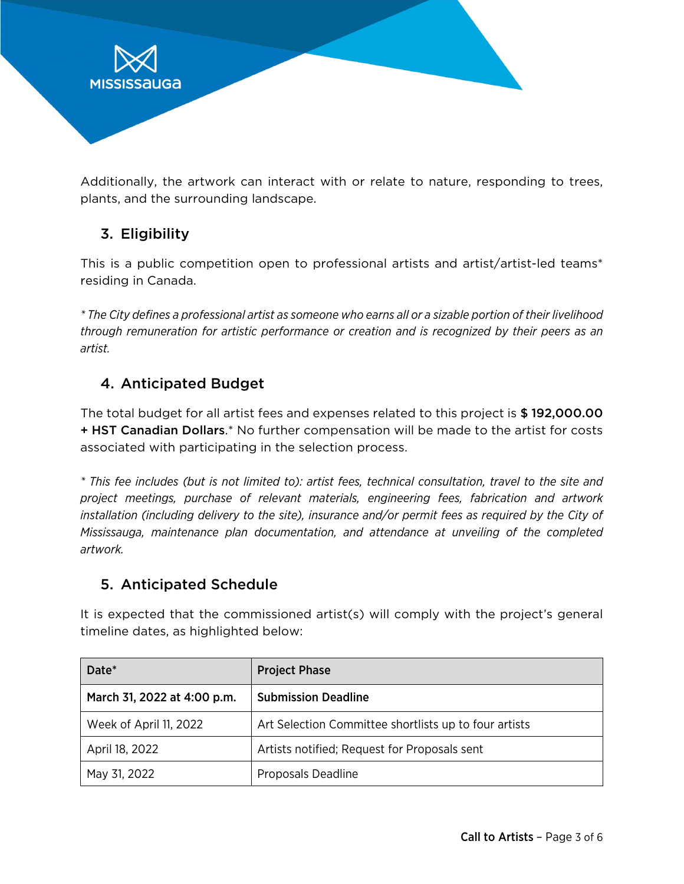

Additionally, the artwork can interact with or relate to nature, responding to trees, plants, and the surrounding landscape.

# 3. Eligibility

This is a public competition open to professional artists and artist/artist-led teams\* residing in Canada.

*\* The City defines a professional artist as someone who earns all or a sizable portion of their livelihood through remuneration for artistic performance or creation and is recognized by their peers as an artist.*

## 4. Anticipated Budget

The total budget for all artist fees and expenses related to this project is \$ 192,000.00 + HST Canadian Dollars.\* No further compensation will be made to the artist for costs associated with participating in the selection process.

*\* This fee includes (but is not limited to): artist fees, technical consultation, travel to the site and project meetings, purchase of relevant materials, engineering fees, fabrication and artwork installation (including delivery to the site), insurance and/or permit fees as required by the City of Mississauga, maintenance plan documentation, and attendance at unveiling of the completed artwork.*

## 5. Anticipated Schedule

It is expected that the commissioned artist(s) will comply with the project's general timeline dates, as highlighted below:

| Date*                       | <b>Project Phase</b>                                  |
|-----------------------------|-------------------------------------------------------|
| March 31, 2022 at 4:00 p.m. | <b>Submission Deadline</b>                            |
| Week of April 11, 2022      | Art Selection Committee shortlists up to four artists |
| April 18, 2022              | Artists notified; Request for Proposals sent          |
| May 31, 2022                | Proposals Deadline                                    |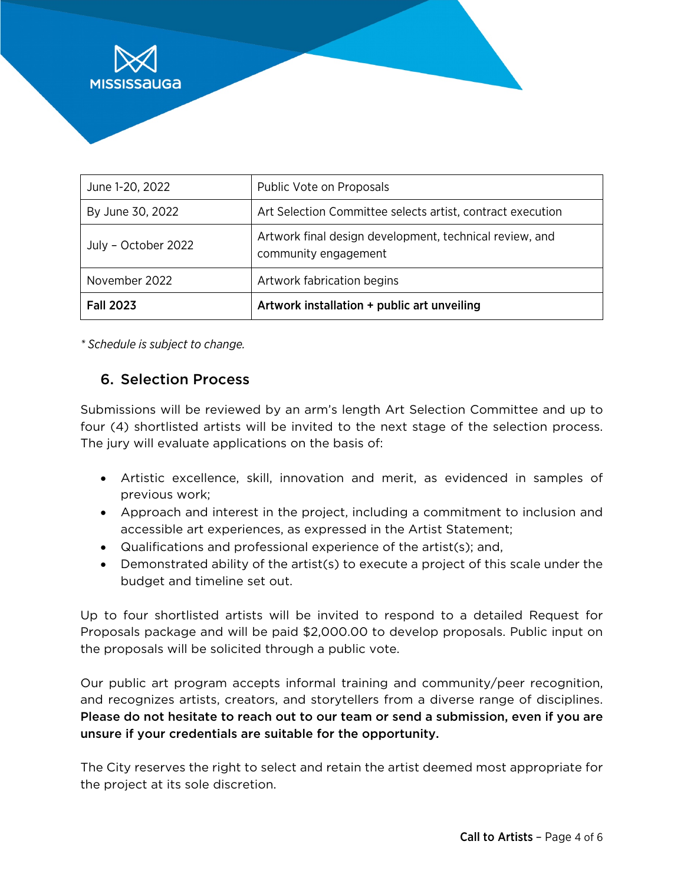

| June 1-20, 2022     | Public Vote on Proposals                                                        |
|---------------------|---------------------------------------------------------------------------------|
| By June 30, 2022    | Art Selection Committee selects artist, contract execution                      |
| July - October 2022 | Artwork final design development, technical review, and<br>community engagement |
| November 2022       | Artwork fabrication begins                                                      |
| <b>Fall 2023</b>    | Artwork installation + public art unveiling                                     |

*\* Schedule is subject to change.*

### 6. Selection Process

Submissions will be reviewed by an arm's length Art Selection Committee and up to four (4) shortlisted artists will be invited to the next stage of the selection process. The jury will evaluate applications on the basis of:

- Artistic excellence, skill, innovation and merit, as evidenced in samples of previous work;
- Approach and interest in the project, including a commitment to inclusion and accessible art experiences, as expressed in the Artist Statement;
- Qualifications and professional experience of the artist(s); and,
- Demonstrated ability of the artist(s) to execute a project of this scale under the budget and timeline set out.

Up to four shortlisted artists will be invited to respond to a detailed Request for Proposals package and will be paid \$2,000.00 to develop proposals. Public input on the proposals will be solicited through a public vote.

Our public art program accepts informal training and community/peer recognition, and recognizes artists, creators, and storytellers from a diverse range of disciplines. Please do not hesitate to reach out to our team or send a submission, even if you are unsure if your credentials are suitable for the opportunity.

The City reserves the right to select and retain the artist deemed most appropriate for the project at its sole discretion.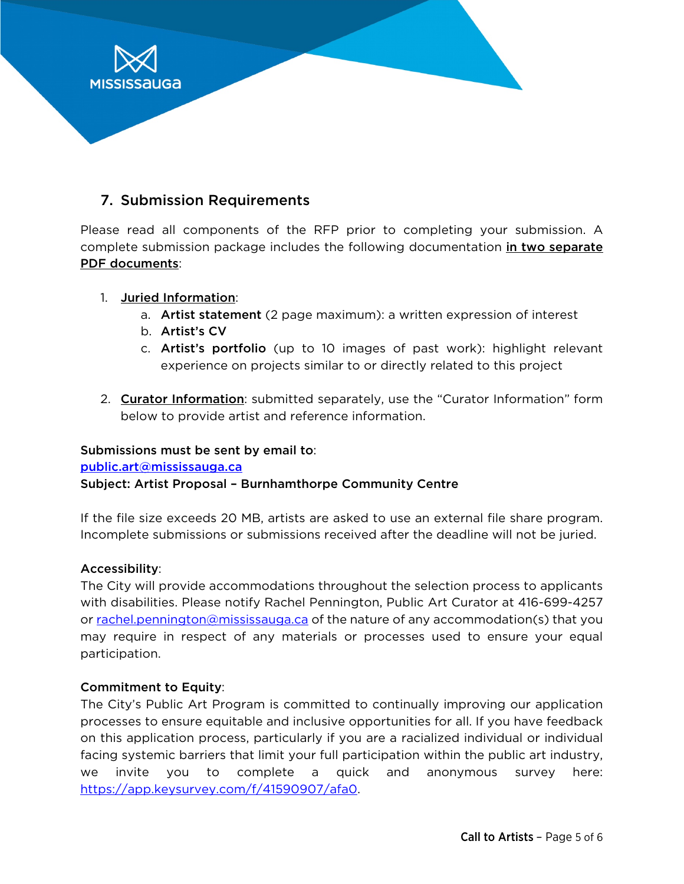

### 7. Submission Requirements

Please read all components of the RFP prior to completing your submission. A complete submission package includes the following documentation in two separate PDF documents:

- 1. Juried Information:
	- a. Artist statement (2 page maximum): a written expression of interest
	- b. Artist's CV
	- c. Artist's portfolio (up to 10 images of past work): highlight relevant experience on projects similar to or directly related to this project
- 2. Curator Information: submitted separately, use the "Curator Information" form below to provide artist and reference information.

### Submissions must be sent by email to:

[public.art@mississauga.ca](mailto:public.art@mississauga.ca)

### Subject: Artist Proposal – Burnhamthorpe Community Centre

If the file size exceeds 20 MB, artists are asked to use an external file share program. Incomplete submissions or submissions received after the deadline will not be juried.

### Accessibility:

The City will provide accommodations throughout the selection process to applicants with disabilities. Please notify Rachel Pennington, Public Art Curator at 416-699-4257 or [rachel.pennington@mississauga.ca](mailto:rachel.pennington@mississauga.ca) of the nature of any accommodation(s) that you may require in respect of any materials or processes used to ensure your equal participation.

### Commitment to Equity:

The City's Public Art Program is committed to continually improving our application processes to ensure equitable and inclusive opportunities for all. If you have feedback on this application process, particularly if you are a racialized individual or individual facing systemic barriers that limit your full participation within the public art industry, we invite you to complete a quick and anonymous survey here: [https://app.keysurvey.com/f/41590907/afa0.](https://app.keysurvey.com/f/41590907/afa0)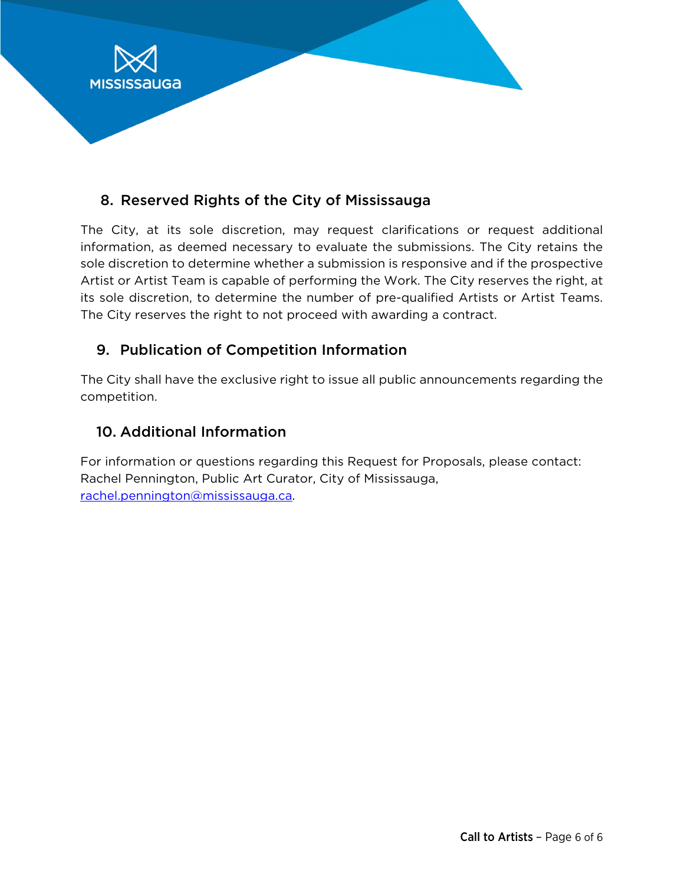

## 8. Reserved Rights of the City of Mississauga

The City, at its sole discretion, may request clarifications or request additional information, as deemed necessary to evaluate the submissions. The City retains the sole discretion to determine whether a submission is responsive and if the prospective Artist or Artist Team is capable of performing the Work. The City reserves the right, at its sole discretion, to determine the number of pre-qualified Artists or Artist Teams. The City reserves the right to not proceed with awarding a contract.

# 9. Publication of Competition Information

The City shall have the exclusive right to issue all public announcements regarding the competition.

# 10. Additional Information

For information or questions regarding this Request for Proposals, please contact: Rachel Pennington, Public Art Curator, City of Mississauga, [rachel.pennington@mississauga.ca.](mailto:rachel.pennington@mississauga.ca)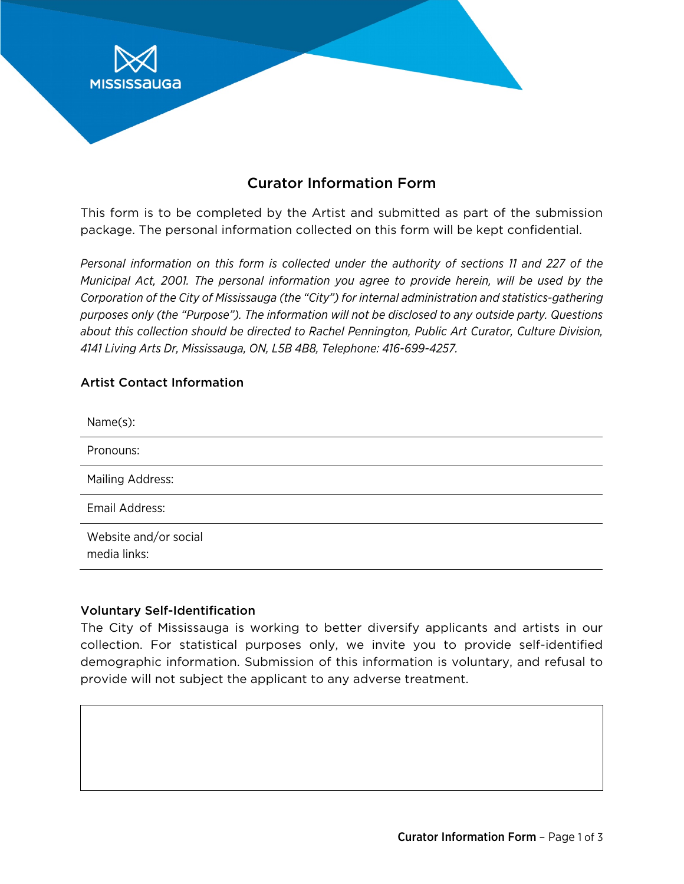

# Curator Information Form

This form is to be completed by the Artist and submitted as part of the submission package. The personal information collected on this form will be kept confidential.

*Personal information on this form is collected under the authority of sections 11 and 227 of the Municipal Act, 2001. The personal information you agree to provide herein, will be used by the Corporation of the City of Mississauga (the "City") for internal administration and statistics-gathering purposes only (the "Purpose"). The information will not be disclosed to any outside party. Questions about this collection should be directed to Rachel Pennington, Public Art Curator, Culture Division, 4141 Living Arts Dr, Mississauga, ON, L5B 4B8, Telephone: 416-699-4257.*

#### Artist Contact Information

| Name(s):                              |
|---------------------------------------|
| Pronouns:                             |
| <b>Mailing Address:</b>               |
| Email Address:                        |
| Website and/or social<br>media links: |

#### Voluntary Self-Identification

The City of Mississauga is working to better diversify applicants and artists in our collection. For statistical purposes only, we invite you to provide self-identified demographic information. Submission of this information is voluntary, and refusal to provide will not subject the applicant to any adverse treatment.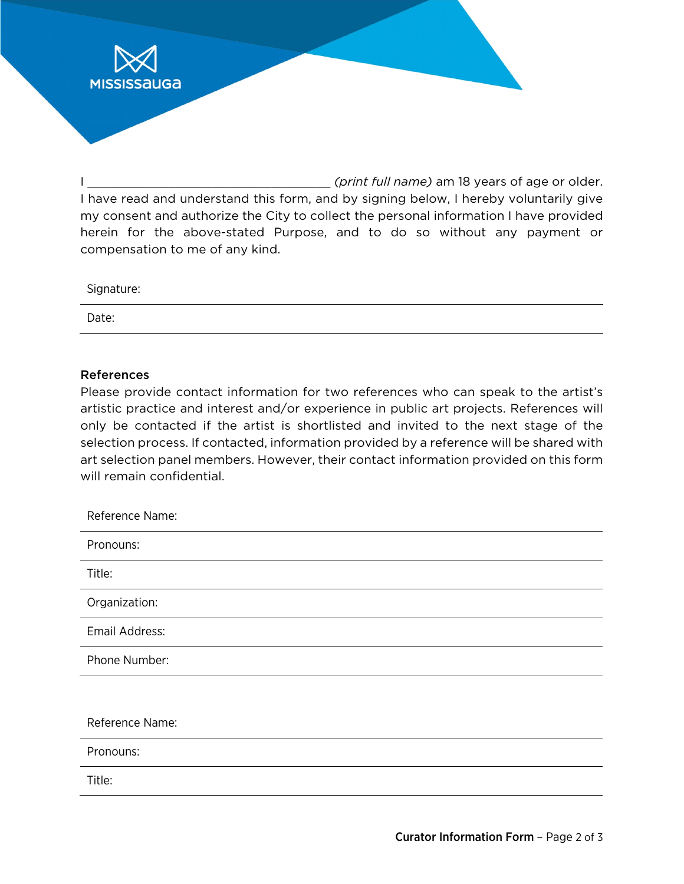I \_\_\_\_\_\_\_\_\_\_\_\_\_\_\_\_\_\_\_\_\_\_\_\_\_\_\_\_\_\_\_\_\_ *(print full name)* am 18 years of age or older. I have read and understand this form, and by signing below, I hereby voluntarily give my consent and authorize the City to collect the personal information I have provided herein for the above-stated Purpose, and to do so without any payment or compensation to me of any kind.

| Signature: |  |
|------------|--|
| Date:      |  |

#### References

**MISSISSAUGA** 

Please provide contact information for two references who can speak to the artist's artistic practice and interest and/or experience in public art projects. References will only be contacted if the artist is shortlisted and invited to the next stage of the selection process. If contacted, information provided by a reference will be shared with art selection panel members. However, their contact information provided on this form will remain confidential.

| Reference Name: |
|-----------------|
| Pronouns:       |
| Title:          |
| Organization:   |
| Email Address:  |
| Phone Number:   |
|                 |
| Reference Name: |
| Pronouns:       |
| Title:          |